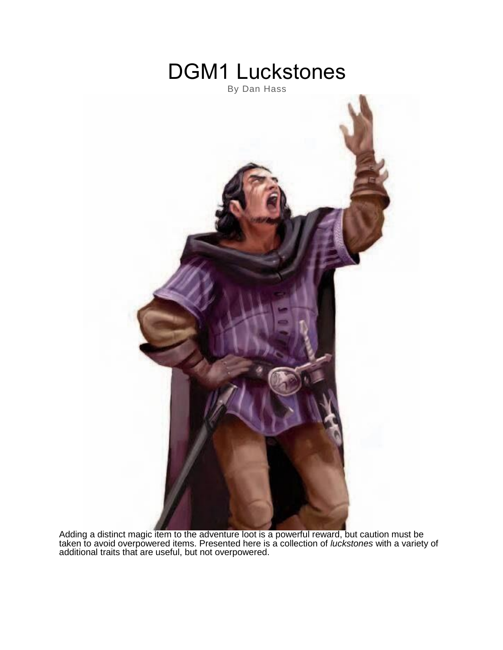

Adding a distinct magic item to the adventure loot is a powerful reward, but caution must be taken to avoid overpowered items. Presented here is a collection of *luckstones* with a variety of additional traits that are useful, but not overpowered.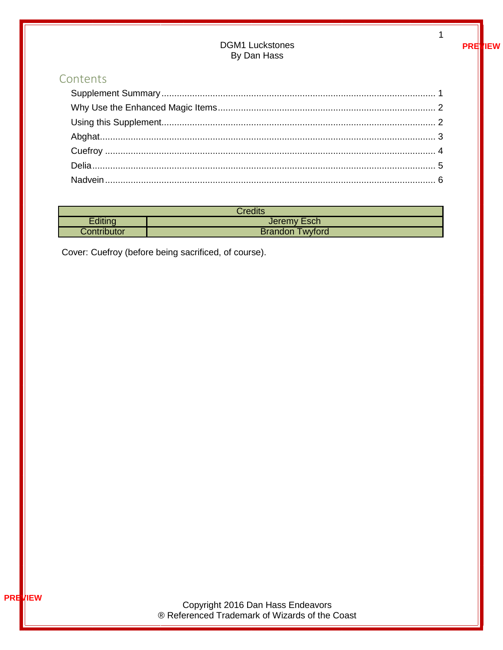# **DGM1 Luckstones** By Dan Hass

# Contents

| Credits     |                           |
|-------------|---------------------------|
| Editing     | Jeremy Esch               |
| Contributor | Twyford<br><b>Brandon</b> |

<span id="page-1-0"></span>Cover: Cuefroy (before being sacrificed, of course).

 $\mathbf{1}$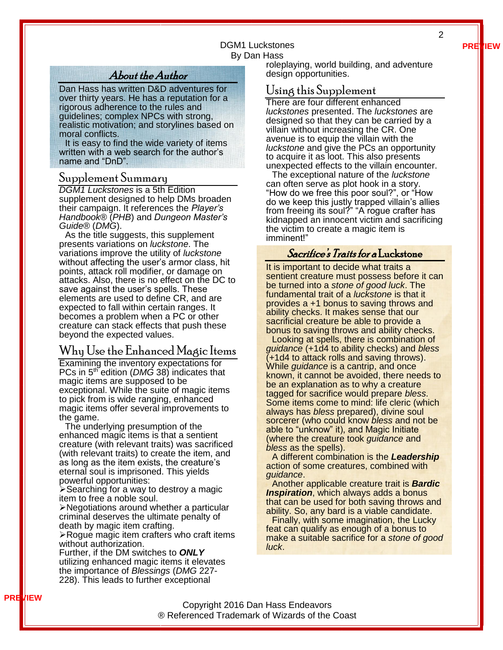**PREVIEW**

2

#### DGM1 Luckstones By Dan Hass

# About the Author

Dan Hass has written D&D adventures for over thirty years. He has a reputation for a rigorous adherence to the rules and guidelines; complex NPCs with strong, realistic motivation; and storylines based on moral conflicts.

It is easy to find the wide variety of items written with a web search for the author's name and "DnD".

#### Supplement Summary

*DGM1 Luckstones* is a 5th Edition supplement designed to help DMs broaden their campaign. It references the *Player's Handbook®* (*PHB*) and *Dungeon Master's Guide®* (*DMG*).

As the title suggests, this supplement presents variations on *luckstone*. The variations improve the utility of *luckstone* without affecting the user's armor class, hit points, attack roll modifier, or damage on attacks. Also, there is no effect on the DC to save against the user's spells. These elements are used to define CR, and are expected to fall within certain ranges. It becomes a problem when a PC or other creature can stack effects that push these beyond the expected values.

### <span id="page-2-0"></span>Why Use the Enhanced Magic Items

Examining the inventory expectations for PCs in 5<sup>th</sup> edition (*DMG* 38) indicates that magic items are supposed to be exceptional. While the suite of magic items to pick from is wide ranging, enhanced magic items offer several improvements to the game.

The underlying presumption of the enhanced magic items is that a sentient creature (with relevant traits) was sacrificed (with relevant traits) to create the item, and as long as the item exists, the creature's eternal soul is imprisoned. This yields powerful opportunities:

➢Searching for a way to destroy a magic item to free a noble soul.

➢Negotiations around whether a particular criminal deserves the ultimate penalty of death by magic item crafting.

➢Rogue magic item crafters who craft items without authorization.

Further, if the DM switches to *ONLY* utilizing enhanced magic items it elevates the importance of *Blessings* (*DMG* 227- 228). This leads to further exceptional

roleplaying, world building, and adventure design opportunities.

## <span id="page-2-1"></span>Using this Supplement

There are four different enhanced *luckstones* presented. The *luckstones* are designed so that they can be carried by a villain without increasing the CR. One avenue is to equip the villain with the *luckstone* and give the PCs an opportunity to acquire it as loot. This also presents unexpected effects to the villain encounter.

The exceptional nature of the *luckstone* can often serve as plot hook in a story. "How do we free this poor soul?", or "How do we keep this justly trapped villain's allies from freeing its soul?" "A rogue crafter has kidnapped an innocent victim and sacrificing the victim to create a magic item is imminent!"

#### Sacrifice's Traits for a Luckstone

It is important to decide what traits a sentient creature must possess before it can be turned into a *stone of good luck*. The fundamental trait of a *luckstone* is that it provides a +1 bonus to saving throws and ability checks. It makes sense that our sacrificial creature be able to provide a bonus to saving throws and ability checks.

Looking at spells, there is combination of *guidance* (+1d4 to ability checks) and *bless*  (+1d4 to attack rolls and saving throws). While *guidance* is a cantrip, and once known, it cannot be avoided, there needs to be an explanation as to why a creature tagged for sacrifice would prepare *bless*. Some items come to mind: life cleric (which always has *bless* prepared), divine soul sorcerer (who could know *bless* and not be able to "unknow" it), and Magic Initiate (where the creature took *guidance* and *bless* as the spells).

A different combination is the *Leadership* action of some creatures, combined with *guidance*.

Another applicable creature trait is *Bardic*  **Inspiration**, which always adds a bonus that can be used for both saving throws and ability. So, any bard is a viable candidate.

Finally, with some imagination, the Lucky feat can qualify as enough of a bonus to make a suitable sacrifice for a *stone of good luck*.

Copyright 2016 Dan Hass Endeavors ® Referenced Trademark of Wizards of the Coast